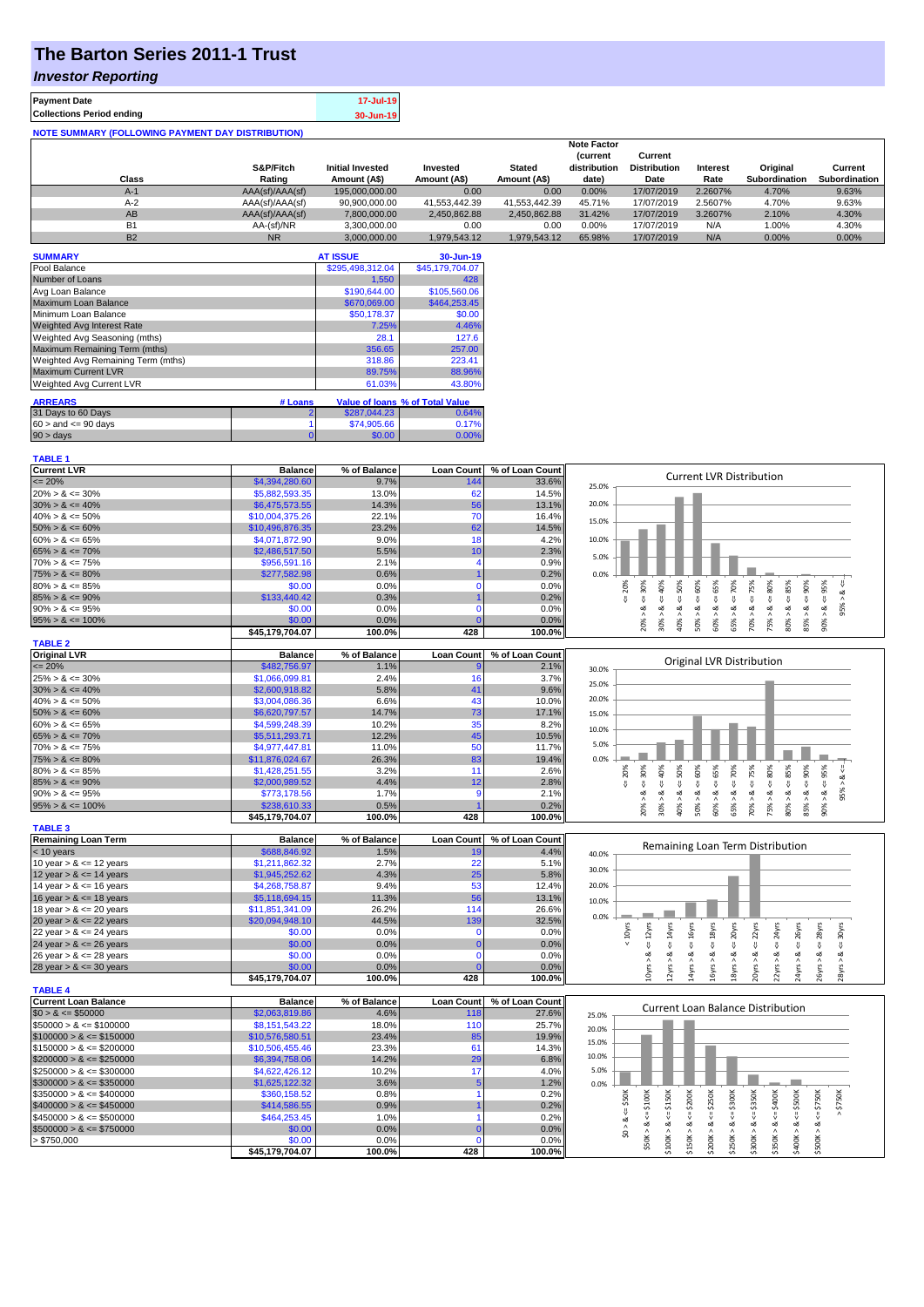# **The Barton Series 2011-1 Trust**

### *Investor Reporting*

| <b>Payment Date</b>                                      | 17-Jul-19 |
|----------------------------------------------------------|-----------|
| <b>Collections Period ending</b>                         | 30-Jun-19 |
| <b>NOTE SUMMARY (FOLLOWING PAYMENT DAY DISTRIBUTION)</b> |           |

|           |                 |                         |               |               | <b>Note Factor</b> |                     |                 |               |               |
|-----------|-----------------|-------------------------|---------------|---------------|--------------------|---------------------|-----------------|---------------|---------------|
|           |                 |                         |               |               | <b>Current</b>     | Current             |                 |               |               |
|           | S&P/Fitch       | <b>Initial Invested</b> | Invested      | <b>Stated</b> | distribution       | <b>Distribution</b> | <b>Interest</b> | Original      | Current       |
| Class     | Rating          | Amount (A\$)            | Amount (A\$)  | Amount (A\$)  | date)              | Date                | Rate            | Subordination | Subordination |
| $A-1$     | AAA(sf)/AAA(sf) | 195,000,000,00          | 0.00          | 0.00          | 0.00%              | 17/07/2019          | 2.2607%         | 4.70%         | 9.63%         |
| $A-2$     | AAA(sf)/AAA(sf) | 90,900,000.00           | 41.553.442.39 | 41.553.442.39 | 45.71%             | 17/07/2019          | 2.5607%         | 4.70%         | 9.63%         |
| AB        | AAA(sf)/AAA(sf) | 7.800.000.00            | 2.450.862.88  | 2.450.862.88  | 31.42%             | 17/07/2019          | 3.2607%         | 2.10%         | 4.30%         |
| B1        | AA-(sf)/NR      | 3.300.000.00            | 0.00          | 0.00          | $0.00\%$           | 17/07/2019          | N/A             | 1.00%         | 4.30%         |
| <b>B2</b> | <b>NR</b>       | 3.000.000.00            | 1.979.543.12  | 1.979.543.12  | 65.98%             | 17/07/2019          | N/A             | $0.00\%$      | 0.00%         |

| <b>SUMMARY</b>                     |         | <b>AT ISSUE</b>  | 30-Jun-19                       |
|------------------------------------|---------|------------------|---------------------------------|
| Pool Balance                       |         | \$295,498,312.04 | \$45,179,704.07                 |
| Number of Loans                    |         | 1,550            | 428                             |
| Avg Loan Balance                   |         | \$190,644.00     | \$105,560.06                    |
| Maximum Loan Balance               |         | \$670,069.00     | \$464,253.45                    |
| Minimum Loan Balance               |         | \$50,178.37      | \$0.00                          |
| <b>Weighted Avg Interest Rate</b>  |         | 7.25%            | 4.46%                           |
| Weighted Avg Seasoning (mths)      |         | 28.1             | 127.6                           |
| Maximum Remaining Term (mths)      |         | 356.65           | 257.00                          |
| Weighted Avg Remaining Term (mths) |         | 318.86           | 223.41                          |
| <b>Maximum Current LVR</b>         |         | 89.75%           | 88.96%                          |
| <b>Weighted Avg Current LVR</b>    |         | 61.03%           | 43.80%                          |
| <b>ARREARS</b>                     | # Loans |                  | Value of loans % of Total Value |
|                                    |         |                  |                                 |
| 31 Days to 60 Days                 | 2       | \$287,044.23     | 0.64%                           |
| $60 >$ and $\leq 90$ days          |         | \$74,905.66      | 0.17%                           |
| $90 > \text{days}$                 | 0       | \$0.00           | 0.00%                           |

| <b>TABLE 1</b>              |                 |              |                   |                 |                                                                                                                                                                                                         |
|-----------------------------|-----------------|--------------|-------------------|-----------------|---------------------------------------------------------------------------------------------------------------------------------------------------------------------------------------------------------|
| <b>Current LVR</b>          | <b>Balance</b>  | % of Balance | <b>Loan Count</b> | % of Loan Count |                                                                                                                                                                                                         |
| $\leq 20\%$                 | \$4,394,280.60  | 9.7%         | 144               | 33.6%           | <b>Current LVR Distribution</b><br>25.0%                                                                                                                                                                |
| $20\% > 8 \le 30\%$         | \$5,882,593.35  | 13.0%        | 62                | 14.5%           |                                                                                                                                                                                                         |
| $30\% > 8 \le 40\%$         | \$6,475,573.55  | 14.3%        | 56                | 13.1%           | 20.0%                                                                                                                                                                                                   |
| $40\% > 8 \le 50\%$         | \$10,004,375.26 | 22.1%        | 70                | 16.4%           |                                                                                                                                                                                                         |
| $50\% > 8 \le 60\%$         | \$10,496,876.35 | 23.2%        | 62                | 14.5%           | 15.0%                                                                                                                                                                                                   |
| $60\% > 8 \le 65\%$         | \$4,071,872.90  | 9.0%         | 18                | 4.2%            | 10.0%                                                                                                                                                                                                   |
| $65\% > 8 \le 70\%$         | \$2,486,517.50  | 5.5%         | 10                | 2.3%            |                                                                                                                                                                                                         |
| $70\% > 8 \le 75\%$         | \$956,591.16    | 2.1%         | 4                 | 0.9%            | 5.0%                                                                                                                                                                                                    |
| $75\% > 8 \le 80\%$         | \$277,582.98    | 0.6%         |                   | 0.2%            | 0.0%                                                                                                                                                                                                    |
| $80\% > 8 \le 85\%$         | \$0.00          | 0.0%         | $\Omega$          | 0.0%            |                                                                                                                                                                                                         |
| $85\% > 8 \le 90\%$         | \$133,440.42    | 0.3%         |                   | 0.2%            | $8 - 60%$<br>$8c = 50%$<br>8 < 70%<br>$8 - 30%$<br>$4 = 20\%$<br>ઌ                                                                                                                                      |
| $90\% > 8 \le 95\%$         | \$0.00          | 0.0%         | $\Omega$          | 0.0%            | $8 \le 85\%$<br>95%                                                                                                                                                                                     |
| $95\% > 8 \le 100\%$        | \$0.00          | 0.0%         |                   | 0.0%            | $30\% > 8 <= 40\%$<br>$60\% > 8$ <= $65\%$<br>$70\% > 8 \leq 75\%$<br>$75\% > 8 <= 80\%$<br>$90\% > 8 <= 95\%$<br>$85\% > 8 <= 90\%$<br>20% ><br>65% ><br>40% ><br>50% ><br>$80\%$ $>$                  |
|                             | \$45,179,704.07 | 100.0%       | 428               | 100.0%          |                                                                                                                                                                                                         |
| <b>TABLE 2</b>              |                 |              |                   |                 |                                                                                                                                                                                                         |
| <b>Original LVR</b>         | <b>Balance</b>  | % of Balance | <b>Loan Count</b> | % of Loan Count |                                                                                                                                                                                                         |
| $\leq$ 20%                  | \$482,756.97    | 1.1%         |                   | 2.1%            | Original LVR Distribution<br>30.0%                                                                                                                                                                      |
| $25\% > 8 \le 30\%$         | \$1,066,099.81  | 2.4%         | 16                | 3.7%            |                                                                                                                                                                                                         |
| $30\% > 8 \le 40\%$         | \$2,600,918.82  | 5.8%         | 41                | 9.6%            | 25.0%                                                                                                                                                                                                   |
| $40\% > 8 \le 50\%$         | \$3,004,086.36  | 6.6%         | 43                | 10.0%           | 20.0%                                                                                                                                                                                                   |
| $50\% > 8 \le 60\%$         | \$6,620,797.57  | 14.7%        | 73                | 17.1%           | 15.0%                                                                                                                                                                                                   |
| $60\% > 8 \le 65\%$         | \$4,599,248.39  | 10.2%        | 35                | 8.2%            |                                                                                                                                                                                                         |
| $65\% > 8 \le 70\%$         | \$5,511,293.71  | 12.2%        | 45                | 10.5%           | 10.0%                                                                                                                                                                                                   |
| $70\% > 8 \le 75\%$         | \$4,977,447.81  | 11.0%        | 50                | 11.7%           | 5.0%                                                                                                                                                                                                    |
| $75\% > 8 \le 80\%$         | \$11,876,024.67 | 26.3%        | 83                | 19.4%           | 0.0%                                                                                                                                                                                                    |
| $80\% > 8 \le 85\%$         | \$1,428,251.55  | 3.2%         | 11                | 2.6%            | 60%<br>20%                                                                                                                                                                                              |
| $85\% > 8 \le 90\%$         | \$2,000,989.52  | 4.4%         | 12                | 2.8%            | $70\% > 8 <= 75\%$<br>$\leq 80\%$<br>485%<br>$85% > 8 \le 90%$<br>$4 = 30\%$<br>40%<br>$\leq 50\%$<br>$\le 65\%$<br>$4 = 70%$<br>$90\% > 8 \le 95\%$<br>ವ<br>IJ,<br>₩                                   |
| $90\% > 8 \le 95\%$         | \$773,178.56    | 1.7%         | 9                 | 2.1%            | 95% ><br>ż<br>$\dot{\infty}$<br>$\dot{\infty}$<br>ઌ                                                                                                                                                     |
| $95\% > 8 \le 100\%$        | \$238,610.33    | 0.5%         |                   | 0.2%            | 20% > 8.<br>60% > 8.<br>65% > 8.<br>75% > 8.<br>30%<br>40% ><br>$80\%$ ><br>50%                                                                                                                         |
|                             | \$45,179,704.07 | 100.0%       | 428               | 100.0%          |                                                                                                                                                                                                         |
| <b>TABLE 3</b>              |                 |              |                   |                 |                                                                                                                                                                                                         |
| <b>Remaining Loan Term</b>  | <b>Balance</b>  | % of Balance | <b>Loan Count</b> | % of Loan Count |                                                                                                                                                                                                         |
| $<$ 10 years                | \$688,846.92    | 1.5%         | 19                | 4.4%            | Remaining Loan Term Distribution<br>40.0%                                                                                                                                                               |
| 10 year $> 8 \le 12$ years  | \$1,211,862.32  | 2.7%         | 22                | 5.1%            |                                                                                                                                                                                                         |
| 12 year $> 8 \le 14$ years  | \$1,945,252.62  | 4.3%         | 25                | 5.8%            | 30.0%                                                                                                                                                                                                   |
| 14 year $> 8 \le 16$ years  | \$4,268,758.87  | 9.4%         | 53                | 12.4%           | 20.0%                                                                                                                                                                                                   |
| 16 year $> 8 \le 18$ years  | \$5,118,694.15  | 11.3%        | 56                | 13.1%           | 10.0%                                                                                                                                                                                                   |
| 18 year $> 8 \le 20$ years  | \$11,851,341.09 | 26.2%        | 114               | 26.6%           |                                                                                                                                                                                                         |
| 20 year $> 8 \le 22$ years  | \$20,094,948.10 | 44.5%        | 139               | 32.5%           | 0.0%                                                                                                                                                                                                    |
| 22 year $> 8 \le 24$ years  | \$0.00          | 0.0%         | $\mathbf 0$       | 0.0%            | $< 10$ yrs                                                                                                                                                                                              |
| 24 year $> 8 \le 26$ years  | \$0.00          | 0.0%         | $\Omega$          | 0.0%            | $\leq 14$ yrs<br>$\leq 18$ yrs<br>$\leq$ 20 $yrs$<br>$\leq$ 22 $\gamma$ rs<br>$\epsilon$ = 24yrs<br>$\leq$ 26yrs<br>$\leq$ 28yrs<br>$\epsilon$ = 12 $\gamma$ rs<br>$4 = 16yrs$<br>$\leq$ 30 $\gamma$ rs |
| 26 year $> 8 \le 28$ years  | \$0.00          | 0.0%         | $\mathbf 0$       | 0.0%            |                                                                                                                                                                                                         |
| 28 year $> 8 \le 30$ years  | \$0.00          | 0.0%         |                   | 0.0%            | 10yrs > 8<br>12yrs > 8.<br>16yrs > 8<br>8yrs > 8<br>14yrs > 8.<br>20yrs > 8<br>22yrs > 8<br>24yrs > 8<br>26yrs > 8<br>28yrs > 8                                                                         |
|                             | \$45,179,704.07 | 100.0%       | 428               | 100.0%          |                                                                                                                                                                                                         |
| <b>TABLE 4</b>              |                 |              |                   |                 |                                                                                                                                                                                                         |
| <b>Current Loan Balance</b> | <b>Balance</b>  | % of Balance | <b>Loan Count</b> | % of Loan Count |                                                                                                                                                                                                         |
| $$0 > 8 \leq $50000$        | \$2,063,819.86  | 4.6%         | 118               | 27.6%           | <b>Current Loan Balance Distribution</b><br>25.0%                                                                                                                                                       |
| $$50000 > 8 \le $100000$    | \$8,151,543.22  | 18.0%        | 110               | 25.7%           | 20.0%                                                                                                                                                                                                   |
| $$100000 > 8 \leq $150000$  | \$10,576,580.51 | 23.4%        | 85                | 19.9%           |                                                                                                                                                                                                         |
| $$150000 > 8 \leq $200000$  | \$10,506,455.46 | 23.3%        | 61                | 14.3%           | 15.0%                                                                                                                                                                                                   |
| $$200000 > 8 \leq $250000$  | \$6,394,758.06  | 14.2%        | 29                | 6.8%            | 10.0%                                                                                                                                                                                                   |
| $$250000 > 8 \leq $300000$  | \$4,622,426.12  | 10.2%        | 17                | 4.0%            | 5.0%                                                                                                                                                                                                    |
| $$300000 > 8 \leq $350000$  | \$1,625,122.32  | 3.6%         | 5                 | 1.2%            | 0.0%                                                                                                                                                                                                    |
| $$350000 > 8 \leq $400000$  | \$360,158.52    | 0.8%         | 1                 | 0.2%            |                                                                                                                                                                                                         |
| $$400000 > 8 \leq $450000$  | \$414,586.55    | 0.9%         |                   | 0.2%            | \$350K<br>\$750K<br>$4 = $750K$                                                                                                                                                                         |
| $$450000 > 8 \leq $500000$  | \$464,253.45    | 1.0%         |                   | 0.2%            | $4 = $300K$<br>$4 = $400K$<br>V                                                                                                                                                                         |
| $$500000 > 8 \le $750000$   | \$0.00          | 0.0%         | $\Omega$          | 0.0%            | $$0 > 8 < = $50$ K                                                                                                                                                                                      |
| > \$750,000                 | \$0.00          | 0.0%         | $\mathbf 0$       | 0.0%            | $$50K > 8 <= $100K$                                                                                                                                                                                     |
|                             | \$45,179,704.07 | 100.0%       | 428               | 100.0%          | $$400K > 8 <= $500K$<br>$$100K > 8 <= $150K$$<br>$$150K > <= $200K$$<br>$$200K > <= $250K$<br>\$350K > 8<br>\$250K > 8<br>\$300K > 8<br>\$500K > 8                                                      |
|                             |                 |              |                   |                 |                                                                                                                                                                                                         |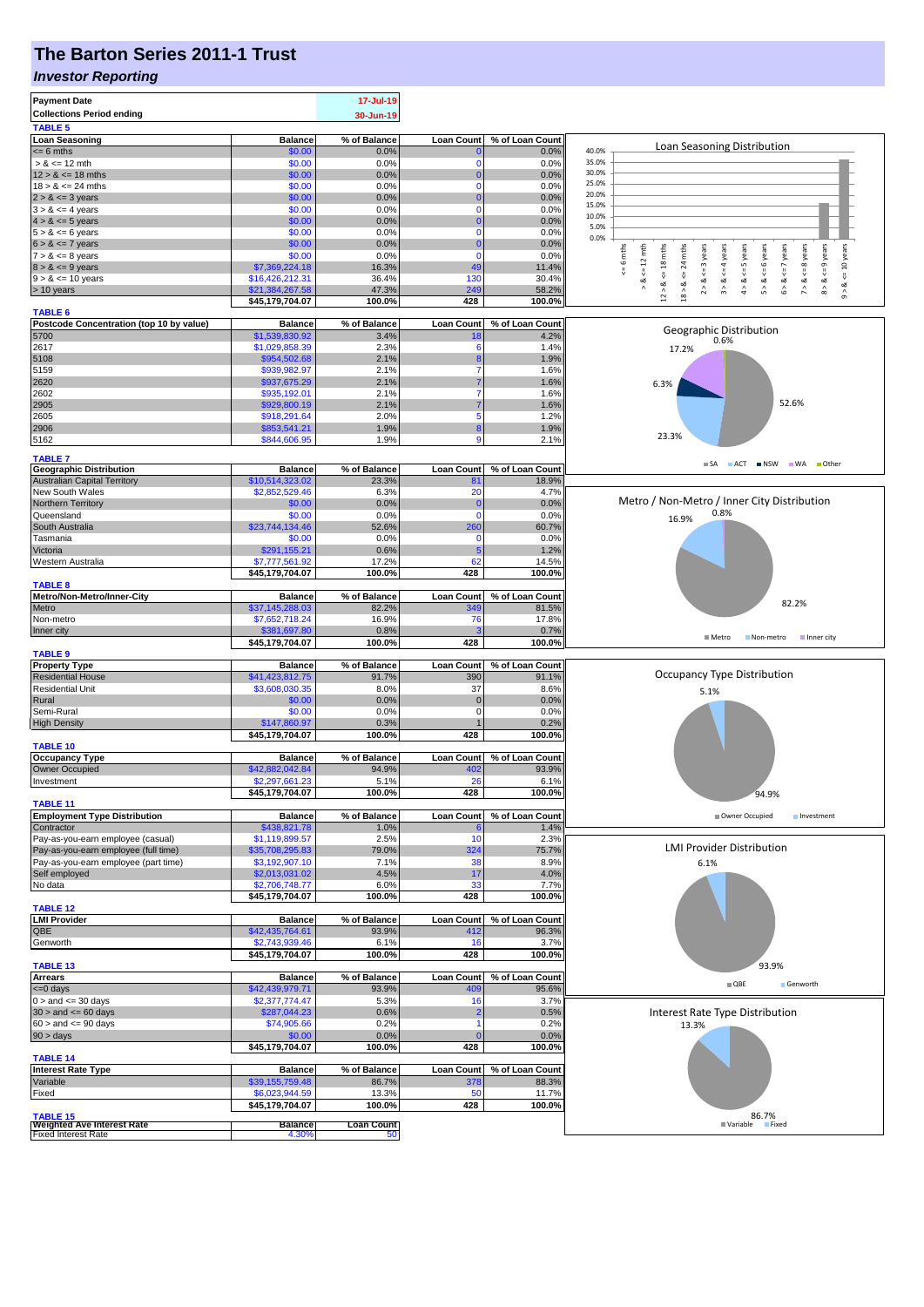# **The Barton Series 2011-1 Trust**

#### *Investor Reporting*

| <b>Payment Date</b><br><b>Collections Period ending</b><br><b>TABLE 5</b>          |                                  | 17-Jul-19<br>30-Jun-19  |                   |                 |                                                                                                                                                                            |
|------------------------------------------------------------------------------------|----------------------------------|-------------------------|-------------------|-----------------|----------------------------------------------------------------------------------------------------------------------------------------------------------------------------|
| <b>Loan Seasoning</b>                                                              | <b>Balance</b>                   | % of Balance            | <b>Loan Count</b> | % of Loan Count |                                                                                                                                                                            |
| $= 6$ mths                                                                         | \$0.00                           | 0.0%                    |                   | 0.0%            | Loan Seasoning Distribution<br>40.0%                                                                                                                                       |
| $> 8 \le 12$ mth                                                                   | \$0.00                           | 0.0%                    | $\mathbf 0$       | 0.0%            | 35.0%                                                                                                                                                                      |
| $12 > 8 \le 18$ mths                                                               | \$0.00                           | 0.0%                    | 0                 | 0.0%            | 30.0%                                                                                                                                                                      |
| $18 > 8 \le 24$ mths                                                               | \$0.00                           | 0.0%                    | C                 | 0.0%            | 25.0%<br>20.0%                                                                                                                                                             |
| $2 > 8 \le 3$ years                                                                | \$0.00                           | 0.0%                    |                   | 0.0%            | 15.0%                                                                                                                                                                      |
| $3 > 8 \le 4$ years<br>$4 > 8 \le 5$ years                                         | \$0.00<br>\$0.00                 | 0.0%<br>0.0%            | $\Omega$          | 0.0%<br>0.0%    | 10.0%                                                                                                                                                                      |
| $5 > 8 \le 6$ years                                                                | \$0.00                           | 0.0%                    | $\mathbf 0$       | 0.0%            | 5.0%                                                                                                                                                                       |
| $6 > 8 \le 7$ years                                                                | \$0.00                           | 0.0%                    |                   | 0.0%            | 0.0%                                                                                                                                                                       |
| $7 > 8 \le 8$ years                                                                | \$0.00                           | 0.0%                    | $\mathbf 0$       | 0.0%            | 6 mths<br>24 mths                                                                                                                                                          |
| $8 > 8 \le 9$ years                                                                | \$7,369,224.18                   | 16.3%                   | 49                | 11.4%           | $\le$ 10 years<br>$\leq$ 7 years<br>$\leq$ 9 years<br>$k = 12$ mth<br>$\leq$ 18 mths<br><= 3 years<br>$\leq$ = 4 years<br>$\le$ 5 years<br>$\le$ 6 years<br>$\leq$ 8 years |
| $9 > 8 \le 10$ years                                                               | \$16,426,212.31                  | 36.4%                   | 130               | 30.4%           | $\stackrel{\scriptscriptstyle \text{II}}{\mathsf{v}}$<br>$2 > 8$ .<br>3 > 8<br>$4 > 8$ .<br>$5 > 8$ .<br>6 > 8<br>$8 > 8$ .<br>৺<br>7 > 8<br>ಷ                             |
| > 10 years                                                                         | \$21,384,267.58                  | 47.3%                   | 249               | 58.2%           | $12 > 8$<br>$18 > 8$<br>$\hat{0}$                                                                                                                                          |
| <b>TABLE 6</b>                                                                     | \$45,179,704.07                  | 100.0%                  | 428               | 100.0%          |                                                                                                                                                                            |
| Postcode Concentration (top 10 by value)                                           | <b>Balance</b>                   | % of Balance            | <b>Loan Count</b> | % of Loan Count |                                                                                                                                                                            |
| 5700                                                                               | \$1,539,830.92                   | 3.4%                    | 18                | 4.2%            | Geographic Distribution<br>0.6%                                                                                                                                            |
| 2617                                                                               | \$1,029,858.39                   | 2.3%                    | 6                 | 1.4%            | 17.2%                                                                                                                                                                      |
| 5108                                                                               | \$954,502.68                     | 2.1%                    |                   | 1.9%            |                                                                                                                                                                            |
| 5159                                                                               | \$939,982.97                     | 2.1%                    | 7                 | 1.6%            |                                                                                                                                                                            |
| 2620<br>2602                                                                       | \$937,675.29<br>\$935,192.01     | 2.1%<br>2.1%            | 7                 | 1.6%<br>1.6%    | 6.3%                                                                                                                                                                       |
| 2905                                                                               | \$929,800.19                     | 2.1%                    |                   | 1.6%            | 52.6%                                                                                                                                                                      |
| 2605                                                                               | \$918,291.64                     | 2.0%                    | 5                 | 1.2%            |                                                                                                                                                                            |
| 2906                                                                               | \$853,541.21                     | 1.9%                    | 8                 | 1.9%            |                                                                                                                                                                            |
| 5162                                                                               | \$844,606.95                     | 1.9%                    | $\overline{9}$    | 2.1%            | 23.3%                                                                                                                                                                      |
| <b>TABLE 7</b>                                                                     |                                  |                         |                   |                 |                                                                                                                                                                            |
| <b>Geographic Distribution</b>                                                     | <b>Balance</b>                   | % of Balance            | <b>Loan Count</b> | % of Loan Count | SA ACT INSW WA Other                                                                                                                                                       |
| <b>Australian Capital Territory</b>                                                | \$10,514,323.02                  | 23.3%                   | 81                | 18.9%           |                                                                                                                                                                            |
| New South Wales                                                                    | \$2,852,529.46                   | 6.3%                    | 20                | 4.7%            | Metro / Non-Metro / Inner City Distribution                                                                                                                                |
| Northern Territory<br>Queensland                                                   | \$0.00<br>\$0.00                 | 0.0%<br>0.0%            | C<br>$\mathbf 0$  | 0.0%            | 0.8%                                                                                                                                                                       |
| South Australia                                                                    | \$23,744,134.46                  | 52.6%                   | 260               | 0.0%<br>60.7%   | 16.9%                                                                                                                                                                      |
| Tasmania                                                                           | \$0.00                           | 0.0%                    | $\mathbf 0$       | 0.0%            |                                                                                                                                                                            |
| Victoria                                                                           | \$291,155.21                     | 0.6%                    | 5                 | 1.2%            |                                                                                                                                                                            |
| Western Australia                                                                  | \$7,777,561.92                   | 17.2%                   | 62                | 14.5%           |                                                                                                                                                                            |
|                                                                                    | \$45,179,704.07                  | 100.0%                  | 428               | 100.0%          |                                                                                                                                                                            |
| <b>TABLE 8</b><br>Metro/Non-Metro/Inner-City                                       | <b>Balance</b>                   | % of Balance            | <b>Loan Count</b> | % of Loan Count |                                                                                                                                                                            |
| Metro                                                                              | \$37,145,288.03                  | 82.2%                   | 349               | 81.5%           | 82.2%                                                                                                                                                                      |
| Non-metro                                                                          | \$7,652,718.24                   | 16.9%                   | 76                | 17.8%           |                                                                                                                                                                            |
| Inner city                                                                         | \$381,697.80                     | 0.8%                    | 3                 | 0.7%            | ■ Metro<br>Non-metro<br>Inner city                                                                                                                                         |
|                                                                                    | \$45,179,704.07                  | 100.0%                  | 428               | 100.0%          |                                                                                                                                                                            |
| <b>TABLE 9</b><br><b>Property Type</b>                                             | <b>Balance</b>                   | % of Balance            | <b>Loan Count</b> | % of Loan Count |                                                                                                                                                                            |
| <b>Residential House</b>                                                           | \$41,423,812.75                  | 91.7%                   | 390               | 91.1%           | Occupancy Type Distribution                                                                                                                                                |
| <b>Residential Unit</b>                                                            | \$3,608,030.35                   | 8.0%                    | 37                | 8.6%            | 5.1%                                                                                                                                                                       |
| Rural                                                                              | \$0.00                           | 0.0%                    | $\overline{0}$    | 0.0%            |                                                                                                                                                                            |
| Semi-Rural                                                                         | \$0.00                           | 0.0%                    | $\mathbf 0$       | 0.0%            |                                                                                                                                                                            |
| <b>High Density</b>                                                                | \$147,860.97                     | 0.3%                    | 428               | 0.2%            |                                                                                                                                                                            |
| <b>TABLE 10</b>                                                                    | \$45,179,704.07                  | 100.0%                  |                   | 100.0%          |                                                                                                                                                                            |
| <b>Occupancy Type</b>                                                              | <b>Balance</b>                   | % of Balance            | <b>Loan Count</b> | % of Loan Count |                                                                                                                                                                            |
| Owner Occupied                                                                     | \$42,882,042.84                  | 94.9%                   | 402               | 93.9%           |                                                                                                                                                                            |
| Investment                                                                         | \$2,297,661.23                   | 5.1%                    | 26                | 6.1%            |                                                                                                                                                                            |
| <b>TABLE 11</b>                                                                    | \$45,179,704.07                  | 100.0%                  | 428               | 100.0%          | 94.9%                                                                                                                                                                      |
| <b>Employment Type Distribution</b>                                                | <b>Balance</b>                   | % of Balance            | <b>Loan Count</b> | % of Loan Count | Owner Occupied<br>Investment                                                                                                                                               |
| Contractor                                                                         | \$438,821.78                     | 1.0%                    |                   | 1.4%            |                                                                                                                                                                            |
| Pay-as-you-earn employee (casual)                                                  | \$1,119,899.57                   | 2.5%                    | 10                | 2.3%            |                                                                                                                                                                            |
| Pay-as-you-earn employee (full time)                                               | \$35,708,295.83                  | 79.0%                   | 324               | 75.7%           | <b>LMI Provider Distribution</b>                                                                                                                                           |
| Pay-as-you-earn employee (part time)                                               | \$3,192,907.10<br>\$2,013,031.02 | 7.1%<br>4.5%            | 38                | 8.9%<br>4.0%    | 6.1%                                                                                                                                                                       |
| Self employed<br>No data                                                           | \$2,706,748.77                   | 6.0%                    | 17<br>33          | 7.7%            |                                                                                                                                                                            |
|                                                                                    | \$45,179,704.07                  | 100.0%                  | 428               | 100.0%          |                                                                                                                                                                            |
| <b>TABLE 12</b>                                                                    |                                  |                         |                   |                 |                                                                                                                                                                            |
| <b>LMI Provider</b>                                                                |                                  |                         |                   | % of Loan Count |                                                                                                                                                                            |
| QBE                                                                                | <b>Balance</b>                   | % of Balance            | <b>Loan Count</b> |                 |                                                                                                                                                                            |
|                                                                                    | \$42,435,764.61                  | 93.9%                   | 412               | 96.3%           |                                                                                                                                                                            |
| Genworth                                                                           | \$2,743,939.46                   | 6.1%                    | 16                | 3.7%            |                                                                                                                                                                            |
|                                                                                    | \$45,179,704.07                  | 100.0%                  | 428               | 100.0%          | 93.9%                                                                                                                                                                      |
| <b>TABLE 13</b><br><b>Arrears</b>                                                  | <b>Balance</b>                   | % of Balance            | <b>Loan Count</b> | % of Loan Count |                                                                                                                                                                            |
| <= 0 days                                                                          | \$42,439,979.71                  | 93.9%                   | 409               | 95.6%           | $\blacksquare$ QBE<br>Genworth                                                                                                                                             |
| $0 >$ and $\leq 30$ days                                                           | \$2,377,774.47                   | 5.3%                    | 16                | 3.7%            |                                                                                                                                                                            |
| $30 >$ and $\leq 60$ days                                                          | \$287,044.23                     | 0.6%                    | -2                | 0.5%            | Interest Rate Type Distribution                                                                                                                                            |
| $60 >$ and $\leq 90$ days                                                          | \$74,905.66                      | 0.2%                    |                   | 0.2%            | 13.3%                                                                                                                                                                      |
| 90 > days                                                                          | \$0.00                           | 0.0%<br>100.0%          | 428               | 0.0%            |                                                                                                                                                                            |
| <b>TABLE 14</b>                                                                    | \$45,179,704.07                  |                         |                   | 100.0%          |                                                                                                                                                                            |
| <b>Interest Rate Type</b>                                                          | <b>Balance</b>                   | % of Balance            | <b>Loan Count</b> | % of Loan Count |                                                                                                                                                                            |
| Variable                                                                           | \$39,155,759.48                  | 86.7%                   | 378               | 88.3%           |                                                                                                                                                                            |
| Fixed                                                                              | \$6,023,944.59                   | 13.3%                   | 50                | 11.7%           |                                                                                                                                                                            |
|                                                                                    | \$45,179,704.07                  | 100.0%                  | 428               | 100.0%          | 86.7%                                                                                                                                                                      |
| <b>TABLE 15</b><br><b>Weighted Ave Interest Rate</b><br><b>Fixed Interest Rate</b> | <b>Balance</b><br>4.30%          | <b>Loan Count</b><br>50 |                   |                 | ■ Variable<br>Fixed                                                                                                                                                        |